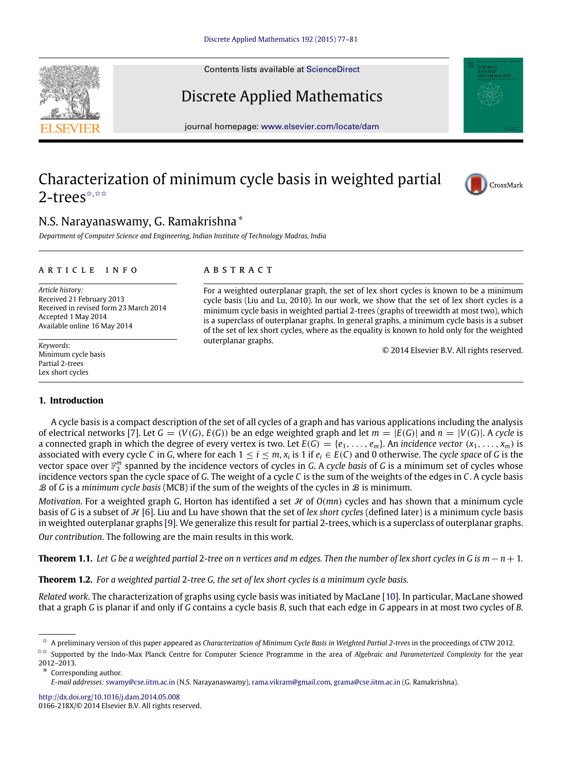Contents lists available at [ScienceDirect](http://www.elsevier.com/locate/dam)

# Discrete Applied Mathematics

journal homepage: [www.elsevier.com/locate/dam](http://www.elsevier.com/locate/dam)

# Characterization of minimum cycle basis in weighted partial 2-trees<sup>☆,☆☆</sup>

## N.S. Narayanaswamy, G. Ramakrishna [∗](#page-0-2)

*Department of Computer Science and Engineering, Indian Institute of Technology Madras, India*

#### a r t i c l e i n f o

*Article history:* Received 21 February 2013 Received in revised form 23 March 2014 Accepted 1 May 2014 Available online 16 May 2014

*Keywords:* Minimum cycle basis Partial 2-trees Lex short cycles

### a b s t r a c t

For a weighted outerplanar graph, the set of lex short cycles is known to be a minimum cycle basis (Liu and Lu, 2010). In our work, we show that the set of lex short cycles is a minimum cycle basis in weighted partial 2-trees (graphs of treewidth at most two), which is a superclass of outerplanar graphs. In general graphs, a minimum cycle basis is a subset of the set of lex short cycles, where as the equality is known to hold only for the weighted outerplanar graphs.

© 2014 Elsevier B.V. All rights reserved.

### **1. Introduction**

A cycle basis is a compact description of the set of all cycles of a graph and has various applications including the analysis of electrical networks [\[7\]](#page-4-0). Let  $G = (V(G), E(G))$  be an edge weighted graph and let  $m = |E(G)|$  and  $n = |V(G)|$ . A *cycle* is a connected graph in which the degree of every vertex is two. Let  $E(G) = \{e_1, \ldots, e_m\}$ . An *incidence vector*  $(x_1, \ldots, x_m)$  is associated with every cycle *C* in *G*, where for each  $1 \le i \le m$ ,  $x_i$  is 1 if  $e_i \in E(C)$  and 0 otherwise. The *cycle space* of *G* is the vector space over  $\mathbb{F}_2^m$  spanned by the incidence vectors of cycles in *G*. A *cycle basis* of *G* is a minimum set of cycles whose incidence vectors span the cycle space of *G*. The weight of a cycle *C* is the sum of the weights of the edges in *C*. A cycle basis B of *G* is a *minimum cycle basis* (MCB) if the sum of the weights of the cycles in B is minimum.

*Motivation*. For a weighted graph *G*, Horton has identified a set *H* of *O(mn)* cycles and has shown that a minimum cycle basis of G is a subset of  $H$  [\[6\]](#page-4-1). Liu and Lu have shown that the set of *lex short cycles* (defined later) is a minimum cycle basis in weighted outerplanar graphs [\[9\]](#page-4-2). We generalize this result for partial 2-trees, which is a superclass of outerplanar graphs. *Our contribution*. The following are the main results in this work.

<span id="page-0-3"></span>**Theorem 1.1.** Let G be a weighted partial 2-tree on n vertices and m edges. Then the number of lex short cycles in G is m −  $n + 1$ .

**Theorem 1.2.** *For a weighted partial* 2*-tree G, the set of lex short cycles is a minimum cycle basis.*

*Related work*. The characterization of graphs using cycle basis was initiated by MacLane [\[10\]](#page-4-3). In particular, MacLane showed that a graph *G* is planar if and only if *G* contains a cycle basis *B*, such that each edge in *G* appears in at most two cycles of *B*.

Corresponding author.

<http://dx.doi.org/10.1016/j.dam.2014.05.008> 0166-218X/© 2014 Elsevier B.V. All rights reserved.







<span id="page-0-0"></span><sup>✩</sup> A preliminary version of this paper appeared as *Characterization of Minimum Cycle Basis in Weighted Partial 2-trees* in the proceedings of CTW 2012.

<span id="page-0-1"></span><sup>✩✩</sup> Supported by the Indo-Max Planck Centre for Computer Science Programme in the area of *Algebraic and Parameterized Complexity* for the year 2012–2013.

<span id="page-0-2"></span>*E-mail addresses:* [swamy@cse.iitm.ac.in](mailto:swamy@cse.iitm.ac.in) (N.S. Narayanaswamy), [rama.vikram@gmail.com,](mailto:rama.vikram@gmail.com) [grama@cse.iitm.ac.in](mailto:grama@cse.iitm.ac.in) (G. Ramakrishna).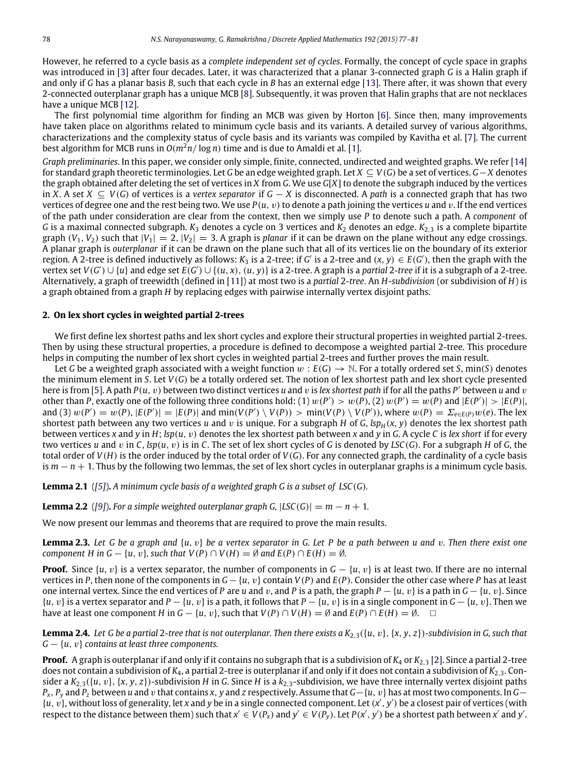However, he referred to a cycle basis as a *complete independent set of cycles*. Formally, the concept of cycle space in graphs was introduced in [\[3\]](#page-4-4) after four decades. Later, it was characterized that a planar 3-connected graph *G* is a Halin graph if and only if *G* has a planar basis *B*, such that each cycle in *B* has an external edge [\[13\]](#page-4-5). There after, it was shown that every 2-connected outerplanar graph has a unique MCB [\[8\]](#page-4-6). Subsequently, it was proven that Halin graphs that are not necklaces have a unique MCB [\[12\]](#page-4-7).

The first polynomial time algorithm for finding an MCB was given by Horton [\[6\]](#page-4-1). Since then, many improvements have taken place on algorithms related to minimum cycle basis and its variants. A detailed survey of various algorithms, characterizations and the complexity status of cycle basis and its variants was compiled by Kavitha et al. [\[7\]](#page-4-0). The current best algorithm for MCB runs in  $O(m^2n/\log n)$  time and is due to Amaldi et al. [\[1\]](#page-4-8).

*Graph preliminaries*. In this paper, we consider only simple, finite, connected, undirected and weighted graphs. We refer [\[14\]](#page-4-9) for standard graph theoretic terminologies. Let *G* be an edge weighted graph. Let *X* ⊆ *V*(*G*) be a set of vertices. *G*−*X* denotes the graph obtained after deleting the set of vertices in *X* from *G*. We use *G*[*X*] to denote the subgraph induced by the vertices in *X*. A set *X* ⊆ *V*(*G*) of vertices is a *vertex separator* if *G* − *X* is disconnected. A *path* is a connected graph that has two vertices of degree one and the rest being two. We use  $P(u, v)$  to denote a path joining the vertices *u* and *v*. If the end vertices of the path under consideration are clear from the context, then we simply use *P* to denote such a path. A *component* of *G* is a maximal connected subgraph. *K*<sup>3</sup> denotes a cycle on 3 vertices and *K*<sup>2</sup> denotes an edge. *K*2,<sup>3</sup> is a complete bipartite graph  $(V_1, V_2)$  such that  $|V_1| = 2$ ,  $|V_2| = 3$ . A graph is *planar* if it can be drawn on the plane without any edge crossings. A planar graph is *outerplanar* if it can be drawn on the plane such that all of its vertices lie on the boundary of its exterior region. A 2-tree is defined inductively as follows:  $K_3$  is a 2-tree; if G' is a 2-tree and  $(x, y) \in E(G')$ , then the graph with the vertex set  $V(G') \cup \{u\}$  and edge set  $E(G') \cup \{(u,x), (u,y)\}$  is a 2-tree. A graph is a partial 2-tree if it is a subgraph of a 2-tree. Alternatively, a graph of treewidth (defined in [\[11\]](#page-4-10)) at most two is a *partial* 2-*tree*. An *H*-*subdivision* (or subdivision of *H*) is a graph obtained from a graph *H* by replacing edges with pairwise internally vertex disjoint paths.

### **2. On lex short cycles in weighted partial 2-trees**

We first define lex shortest paths and lex short cycles and explore their structural properties in weighted partial 2-trees. Then by using these structural properties, a procedure is defined to decompose a weighted partial 2-tree. This procedure helps in computing the number of lex short cycles in weighted partial 2-trees and further proves the main result.

Let *G* be a weighted graph associated with a weight function  $w : E(G) \to \mathbb{N}$ . For a totally ordered set *S*, min(*S*) denotes the minimum element in *S*. Let *V*(*G*) be a totally ordered set. The notion of lex shortest path and lex short cycle presented here is from [\[5\]](#page-4-11). A path *P*(*u*, v) between two distinct vertices *u* and v is *lex shortest path* if for all the paths *P* ′ between *u* and v other than P, exactly one of the following three conditions hold: (1)  $w(P') > w(P)$ , (2)  $w(P') = w(P)$  and  $|E(P')| > |E(P)|$ , and (3)  $w(P') = w(P)$ ,  $|E(P')| = |E(P)|$  and  $min(V(P') \setminus V(P)) > min(V(P) \setminus V(P'))$ , where  $w(P) = \sum_{e \in E(P)} w(e)$ . The lex shortest path between any two vertices  $u$  and  $v$  is unique. For a subgraph  $H$  of  $G$ ,  $\text{sp}_{H}(x, y)$  denotes the lex shortest path between vertices *x* and *y* in *H*; *lsp*(*u*, v) denotes the lex shortest path between *x* and *y* in *G*. A cycle *C* is *lex short* if for every two vertices *u* and v in *C*, *lsp*(*u*, v) is in *C*. The set of lex short cycles of *G* is denoted by *LSC*(*G*). For a subgraph *H* of *G*, the total order of *V*(*H*) is the order induced by the total order of *V*(*G*). For any connected graph, the cardinality of a cycle basis is *m* − *n* + 1. Thus by the following two lemmas, the set of lex short cycles in outerplanar graphs is a minimum cycle basis.

<span id="page-1-3"></span>**Lemma 2.1** (*[\[5\]](#page-4-11)*)**.** *A minimum cycle basis of a weighted graph G is a subset of LSC*(*G*)*.*

<span id="page-1-2"></span>**Lemma 2.2** ([\[9\]](#page-4-2)). For a simple weighted outerplanar graph G,  $|LSC(G)| = m - n + 1$ .

We now present our lemmas and theorems that are required to prove the main results.

<span id="page-1-1"></span>**Lemma 2.3.** *Let G be a graph and* {*u*, v} *be a vertex separator in G. Let P be a path between u and* v*. Then there exist one component H in G – {u, v}, such that*  $V(P) \cap V(H) = \emptyset$  *and*  $E(P) \cap E(H) = \emptyset$ *.* 

**Proof.** Since  $\{u, v\}$  is a vertex separator, the number of components in  $G - \{u, v\}$  is at least two. If there are no internal vertices in *P*, then none of the components in  $G - \{u, v\}$  contain  $V(P)$  and  $E(P)$ . Consider the other case where *P* has at least one internal vertex. Since the end vertices of *P* are *u* and *v*, and *P* is a path, the graph  $P - \{u, v\}$  is a path in  $G - \{u, v\}$ . Since {*u*, v} is a vertex separator and *P* − {*u*, v} is a path, it follows that *P* − {*u*, v} is in a single component in *G* − {*u*, v}. Then we have at least one component *H* in  $G - \{u, v\}$ , such that  $V(P) \cap V(H) = \emptyset$  and  $E(P) \cap E(H) = \emptyset$ .

<span id="page-1-0"></span>**Lemma 2.4.** Let G be a partial 2-tree that is not outerplanar. Then there exists a  $K_{2,3}(\{u, v\}, \{x, y, z\})$ -subdivision in G, such that *G* − {*u*, v} *contains at least three components.*

**Proof.** A graph is outerplanar if and only if it contains no subgraph that is a subdivision of *K*<sup>4</sup> or *K*2,<sup>3</sup> [\[2\]](#page-4-12). Since a partial 2-tree does not contain a subdivision of *K*4, a partial 2-tree is outerplanar if and only if it does not contain a subdivision of *K*2,3. Consider a  $K_{2,3}(\{u, v\}, \{x, y, z\})$ -subdivision *H* in *G*. Since *H* is a  $k_{2,3}$ -subdivision, we have three internally vertex disjoint paths *Px*, *P<sup>y</sup>* and *P<sup>z</sup>* between *u* and v that contains *x*, *y* and *z* respectively. Assume that *G*−{*u*, v} has at most two components. In *G*−  $\{u, v\}$ , without loss of generality, let *x* and *y* be in a single connected component. Let  $(x', y')$  be a closest pair of vertices (with respect to the distance between them) such that  $x' \in V(P_x)$  and  $y' \in V(P_y)$ . Let  $P(x', y')$  be a shortest path between x' and y'.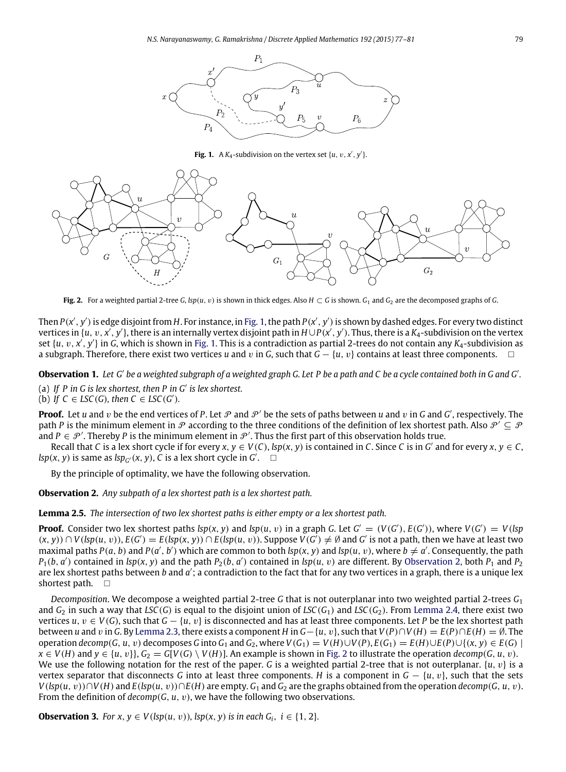<span id="page-2-0"></span>

**Fig. 1.** A  $K_4$ -subdivision on the vertex set  $\{u, v, x', y'\}$ .

<span id="page-2-2"></span>

**Fig. 2.** For a weighted partial 2-tree *G*, *lsp*(*u*, *v*) is shown in thick edges. Also  $H \subset G$  is shown.  $G_1$  and  $G_2$  are the decomposed graphs of *G*.

Then  $P(x', y')$  is edge disjoint from  $H$ . For instance, in [Fig. 1,](#page-2-0) the path  $P(x', y')$  is shown by dashed edges. For every two distinct vertices in { $u, v, x', y'$ }, there is an internally vertex disjoint path in  $H\cup P(x', y')$ . Thus, there is a  $K_4$ -subdivision on the vertex set {*u*, *v*, *x'*, *y'*} in *G*, which is shown in [Fig. 1.](#page-2-0) This is a contradiction as partial 2-trees do not contain any *K*<sub>4</sub>-subdivision as a subgraph. Therefore, there exist two vertices *u* and v in *G*, such that *G* − {*u*, v} contains at least three components.

<span id="page-2-5"></span>Observation 1. Let G' be a weighted subgraph of a weighted graph G. Let P be a path and C be a cycle contained both in G and G'. (a) *If P in G is lex shortest, then P in G*′ *is lex shortest.*

(b) *If*  $C \in LSC(G)$ *, then*  $C \in LSC(G')$ *.* 

**Proof.** Let *u* and *v* be the end vertices of *P*. Let  $P$  and  $P'$  be the sets of paths between *u* and *v* in *G* and *G'*, respectively. The path *P* is the minimum element in  $\mathcal P$  according to the three conditions of the definition of lex shortest path. Also  $\mathcal P' \subseteq \mathcal P$ and  $P \in \mathcal{P}'$ . Thereby P is the minimum element in  $\mathcal{P}'$ . Thus the first part of this observation holds true.

Recall that C is a lex short cycle if for every  $x, y \in V(C)$ , lsp(x, y) is contained in C. Since C is in G' and for every  $x, y \in C$ , *lsp*(*x*, *y*) is same as *lsp<sub>G</sub>* (*x*, *y*), *C* is a lex short cycle in *G*<sup>'</sup>.  $\Box$ 

<span id="page-2-1"></span>By the principle of optimality, we have the following observation.

**Observation 2.** *Any subpath of a lex shortest path is a lex shortest path.*

<span id="page-2-3"></span>**Lemma 2.5.** *The intersection of two lex shortest paths is either empty or a lex shortest path.*

**Proof.** Consider two lex shortest paths  $\text{sp}(x, y)$  and  $\text{sp}(u, v)$  in a graph G. Let  $G' = (V(G'), E(G'))$ , where  $V(G') = V(\text{sp}(x))$  $(x, y)$ )  $\cap$   $V(lsp(u, v))$ ,  $E(G') = E(lsp(x, y))$   $\cap$   $E(lsp(u, v))$ . Suppose  $V(G') \neq \emptyset$  and  $G'$  is not a path, then we have at least two maximal paths  $P(a, b)$  and  $P(a', b')$  which are common to both  $lsp(x, y)$  and  $lsp(u, v)$ , where  $b \neq a'$ . Consequently, the path  $P_1(b, a')$  contained in *lsp*(*x*, *y*) and the path  $P_2(b, a')$  contained in *lsp*(*u*, *v*) are different. By [Observation 2,](#page-2-1) both  $P_1$  and  $P_2$ are lex shortest paths between *b* and *a'*; a contradiction to the fact that for any two vertices in a graph, there is a unique lex shortest path.  $\square$ 

*Decomposition*. We decompose a weighted partial 2-tree *G* that is not outerplanar into two weighted partial 2-trees *G*<sup>1</sup> and  $G_2$  in such a way that *LSC*(*G*) is equal to the disjoint union of *LSC*( $G_1$ ) and *LSC*( $G_2$ ). From [Lemma 2.4,](#page-1-0) there exist two vertices *u*,  $v \in V(G)$ , such that  $G - \{u, v\}$  is disconnected and has at least three components. Let *P* be the lex shortest path between *u* and *v* in *G*. By [Lemma 2.3,](#page-1-1) there exists a component *H* in *G*−{*u*, *v*}, such that  $V(P) \cap V(H) = E(P) \cap E(H) = \emptyset$ . The operation decomp(G, u, v) decomposes G into G<sub>1</sub> and G<sub>2</sub>, where  $V(G_1) = V(H) \cup V(P)$ ,  $E(G_1) = E(H) \cup E(P) \cup \{(x, y) \in E(G) \mid$  $x \in V(H)$  and  $y \in \{u, v\}, G_2 = G[V(G) \setminus V(H)]$ . An example is shown in [Fig. 2](#page-2-2) to illustrate the operation *decomp*(*G*, *u*, *v*). We use the following notation for the rest of the paper. *G* is a weighted partial 2-tree that is not outerplanar.  $\{u, v\}$  is a vertex separator that disconnects *G* into at least three components. *H* is a component in  $G - \{u, v\}$ , such that the sets  $V(\text{Isp}(u, v)) \cap V(H)$  and  $E(\text{Isp}(u, v)) \cap E(H)$  are empty.  $G_1$  and  $G_2$  are the graphs obtained from the operation decomp(G, u, v). From the definition of  $decomp(G, u, v)$ , we have the following two observations.

<span id="page-2-4"></span>**Observation 3.** For  $x, y \in V(\text{lsp}(u, v))$ ,  $\text{lsp}(x, y)$  is in each  $G_i$ ,  $i \in \{1, 2\}$ .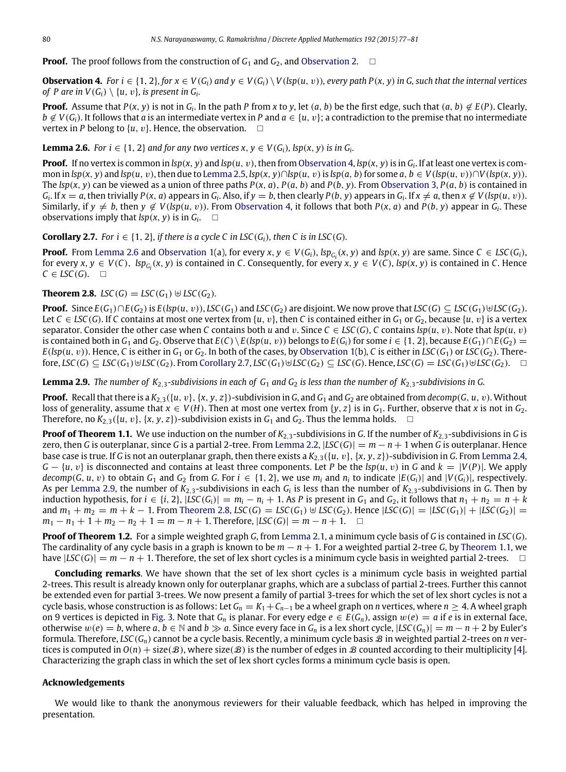**Proof.** The proof follows from the construction of  $G_1$  and  $G_2$ , and [Observation 2.](#page-2-1)  $\Box$ 

<span id="page-3-0"></span>**Observation 4.** For  $i \in \{1, 2\}$ , for  $x \in V(G_i)$  and  $y \in V(G_i) \setminus V(\text{Isp}(u, v))$ , every path  $P(x, y)$  in G, such that the internal vertices *of P are in*  $V(G_i) \setminus \{u, v\}$ *, is present in*  $G_i$ *.* 

**Proof.** Assume that  $P(x, y)$  is not in  $G_i$ . In the path P from x to y, let  $(a, b)$  be the first edge, such that  $(a, b) \notin E(P)$ . Clearly,  $b \notin V(G_i)$ . It follows that *a* is an intermediate vertex in *P* and  $a \in \{u, v\}$ ; a contradiction to the premise that no intermediate vertex in *P* belong to  $\{u, v\}$ . Hence, the observation.  $\Box$ 

<span id="page-3-1"></span>**Lemma 2.6.** *For i*  $\in$  {1, 2} *and for any two vertices*  $x, y \in V(G_i)$ *,*  $lsp(x, y)$  *<i>is in G*<sub>*i*</sub>.

**Proof.** If no vertex is common in *lsp*(*x*, *y*) and *lsp*(*u*, v), then from [Observation 4,](#page-3-0) *lsp*(*x*, *y*)is in *G<sup>i</sup>* . If at least one vertex is common in  $\text{Isp}(x, y)$  and  $\text{Isp}(u, v)$ , then due to [Lemma 2.5,](#page-2-3)  $\text{Isp}(x, y) \cap \text{Isp}(u, v)$  is  $\text{Isp}(a, b)$  for some  $a, b \in V(\text{Isp}(u, v)) \cap V(\text{Isp}(x, y))$ . The  $lsp(x, y)$  can be viewed as a union of three paths  $P(x, a)$ ,  $P(a, b)$  and  $P(b, y)$ . From [Observation 3,](#page-2-4)  $P(a, b)$  is contained in  $G_i$ . If  $x = a$ , then trivially  $P(x, a)$  appears in  $G_i$ . Also, if  $y = b$ , then clearly  $P(b, y)$  appears in  $G_i$ . If  $x \neq a$ , then  $x \notin V(\text{sp}(u, v))$ . Similarly, if  $y \neq b$ , then  $y \notin V(\text{Isp}(u, v))$ . From [Observation 4,](#page-3-0) it follows that both  $P(x, a)$  and  $P(b, y)$  appear in  $G_i$ . These observations imply that  $lsp(x, y)$  is in  $G_i$ .  $\square$ 

<span id="page-3-2"></span>**Corollary 2.7.** *For i*  $\in$  {1, 2}*, if there is a cycle C in LSC*( $G$ *i*)*, then C is in LSC*( $G$ *).* 

**Proof.** From [Lemma 2.6](#page-3-1) and [Observation 1\(](#page-2-5)a), for every  $x, y \in V(G_i)$ ,  $\text{lsp}_{G_i}(x, y)$  and  $\text{lsp}(x, y)$  are same. Since  $C \in LSC(G_i)$ , for every  $x, y \in V(C)$ ,  $\text{lsp}_{G_i}(x, y)$  is contained in C. Consequently, for every  $x, y \in V(C)$ ,  $\text{lsp}(x, y)$  is contained in C. Hence  $C \in LSC(G)$ .  $\square$ 

### <span id="page-3-4"></span>**Theorem 2.8.** *LSC*(*G*) = *LSC*(*G*<sub>1</sub>)  $\uplus$  *LSC*(*G*<sub>2</sub>)*.*

**Proof.** Since  $E(G_1) \cap E(G_2)$  is  $E(\text{Isp}(u, v))$ , LSC( $G_1$ ) and LSC( $G_2$ ) are disjoint. We now prove that LSC( $G$ )  $\subseteq$  LSC( $G_1$ )  $\forall$ LSC( $G_2$ ). Let  $C \in LSC(G)$ . If *C* contains at most one vertex from  $\{u, v\}$ , then *C* is contained either in  $G_1$  or  $G_2$ , because  $\{u, v\}$  is a vertex separator. Consider the other case when *C* contains both *u* and *v*. Since  $C \in LSC(G)$ , *C* contains  $lsp(u, v)$ . Note that  $lsp(u, v)$ is contained both in  $G_1$  and  $G_2$ . Observe that  $E(C) \setminus E(kp(u, v))$  belongs to  $E(G_i)$  for some  $i \in \{1, 2\}$ , because  $E(G_1) \cap E(G_2)$  =  $E(\text{lsp}(u, v))$ . Hence, *C* is either in  $G_1$  or  $G_2$ . In both of the cases, by [Observation 1\(](#page-2-5)b), *C* is either in *LSC*( $G_1$ ) or *LSC*( $G_2$ ). Therefore,  $LSC(G) \subseteq LSC(G_1) \cup LSC(G_2)$ . From [Corollary 2.7,](#page-3-2)  $LSC(G_1) \cup LSC(G_2) \subseteq LSC(G)$ . Hence,  $LSC(G) = LSC(G_1) \cup LSC(G_2)$ .

<span id="page-3-3"></span>**Lemma 2.9.** *The number of K*<sub>2,3</sub>-subdivisions in each of  $G_1$  and  $G_2$  is less than the number of  $K_{2,3}$ -subdivisions in G.

**Proof.** Recall that there is a  $K_{2,3}(\{u, v\}, \{x, y, z\})$ -subdivision in *G*, and *G*<sub>1</sub> and *G*<sub>2</sub> are obtained from *decomp*(*G*, *u*, *v*). Without loss of generality, assume that  $x \in V(H)$ . Then at most one vertex from  $\{y, z\}$  is in  $G_1$ . Further, observe that *x* is not in  $G_2$ . Therefore, no  $K_{2,3}(\{u, v\}, \{x, y, z\})$ -subdivision exists in  $G_1$  and  $G_2$ . Thus the lemma holds.  $\square$ 

**Proof of Theorem 1.1.** We use induction on the number of  $K_{2,3}$ -subdivisions in *G*. If the number of  $K_{2,3}$ -subdivisions in *G* is zero, then *G* is outerplanar, since *G* is a partial 2-tree. From [Lemma 2.2,](#page-1-2)  $|LSC(G)| = m - n + 1$  when *G* is outerplanar. Hence base case is true. If *G* is not an outerplanar graph, then there exists a *K*2,3({*u*, v},{*x*, *y*, *z*})-subdivision in *G*. From [Lemma 2.4,](#page-1-0) *G* − {*u*, v} is disconnected and contains at least three components. Let *P* be the *lsp*(*u*, v) in *G* and *k* = |*V*(*P*)|. We apply  $decomp(G, u, v)$  to obtain  $G_1$  and  $G_2$  from G. For  $i \in \{1, 2\}$ , we use  $m_i$  and  $n_i$  to indicate  $|E(G_i)|$  and  $|V(G_i)|$ , respectively. As per [Lemma 2.9,](#page-3-3) the number of *K*2,3-subdivisions in each *G<sup>i</sup>* is less than the number of *K*2,3-subdivisions in *G*. Then by induction hypothesis, for  $i \in \{i, 2\}$ ,  $|LSC(G_i)| = m_i - n_i + 1$ . As P is present in  $G_1$  and  $G_2$ , it follows that  $n_1 + n_2 = n + k$ and  $m_1 + m_2 = m + k - 1$ . From [Theorem 2.8,](#page-3-4)  $LSC(G) = LSC(G_1) \cup LSC(G_2)$ . Hence  $|LSC(G)| = |LSC(G_1)| + |LSC(G_2)| =$ *m*<sub>1</sub> − *n*<sub>1</sub> + 1 + *m*<sub>2</sub> − *n*<sub>2</sub> + 1 = *m* − *n* + 1. Therefore,  $|LSC(G)| = m - n + 1$ . □

**Proof of Theorem 1.2.** For a simple weighted graph *G*, from [Lemma 2.1,](#page-1-3) a minimum cycle basis of *G* is contained in *LSC*(*G*). The cardinality of any cycle basis in a graph is known to be *m* − *n* + 1. For a weighted partial 2-tree *G*, by [Theorem 1.1,](#page-0-3) we have  $|LSC(G)| = m - n + 1$ . Therefore, the set of lex short cycles is a minimum cycle basis in weighted partial 2-trees.  $\Box$ 

**Concluding remarks**. We have shown that the set of lex short cycles is a minimum cycle basis in weighted partial 2-trees. This result is already known only for outerplanar graphs, which are a subclass of partial 2-trees. Further this cannot be extended even for partial 3-trees. We now present a family of partial 3-trees for which the set of lex short cycles is not a cycle basis, whose construction is as follows: Let  $G_n = K_1 + C_{n-1}$  be a wheel graph on *n* vertices, where  $n \geq 4$ . A wheel graph on 9 vertices is depicted in [Fig. 3.](#page-4-13) Note that  $G_n$  is planar. For every edge  $e \in E(G_n)$ , assign  $w(e) = a$  if *e* is in external face, otherwise  $w(e) = b$ , where  $a, b \in \mathbb{N}$  and  $b \gg a$ . Since every face in  $G_n$  is a lex short cycle,  $|LSC(G_n)| = m - n + 2$  by Euler's formula. Therefore, *LSC*(*Gn*) cannot be a cycle basis. Recently, a minimum cycle basis B in weighted partial 2-trees on *n* vertices is computed in  $O(n) + \text{size}(\mathcal{B})$ , where size( $\mathcal{B}$ ) is the number of edges in  $\mathcal{B}$  counted according to their multiplicity [\[4\]](#page-4-14). Characterizing the graph class in which the set of lex short cycles forms a minimum cycle basis is open.

#### **Acknowledgements**

We would like to thank the anonymous reviewers for their valuable feedback, which has helped in improving the presentation.